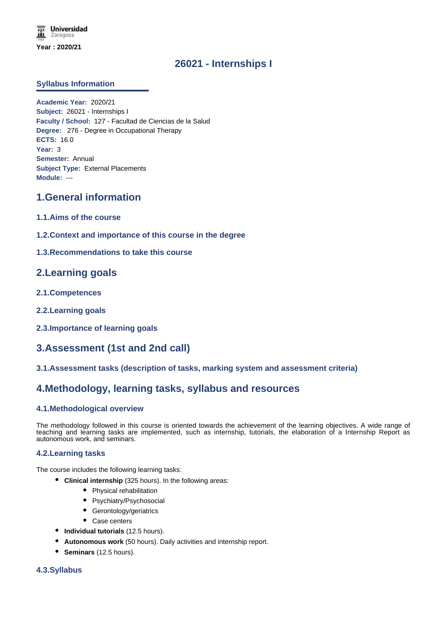# **26021 - Internships I**

### **Syllabus Information**

**Academic Year:** 2020/21 **Subject:** 26021 - Internships I **Faculty / School:** 127 - Facultad de Ciencias de la Salud **Degree:** 276 - Degree in Occupational Therapy **ECTS:** 16.0 **Year:** 3 **Semester:** Annual **Subject Type:** External Placements **Module:** ---

## **1.General information**

- **1.1.Aims of the course**
- **1.2.Context and importance of this course in the degree**

### **1.3.Recommendations to take this course**

## **2.Learning goals**

- **2.1.Competences**
- **2.2.Learning goals**
- **2.3.Importance of learning goals**

# **3.Assessment (1st and 2nd call)**

**3.1.Assessment tasks (description of tasks, marking system and assessment criteria)**

## **4.Methodology, learning tasks, syllabus and resources**

### **4.1.Methodological overview**

The methodology followed in this course is oriented towards the achievement of the learning objectives. A wide range of teaching and learning tasks are implemented, such as internship, tutorials, the elaboration of a Internship Report as autonomous work, and seminars.

### **4.2.Learning tasks**

The course includes the following learning tasks:

- **Clinical internship** (325 hours). In the following areas:
	- Physical rehabilitation
	- Psychiatry/Psychosocial
	- Gerontology/geriatrics
	- Case centers
- **Individual tutorials** (12.5 hours).
- **Autonomous work** (50 hours). Daily activities and internship report.
- **Seminars** (12.5 hours).

### **4.3.Syllabus**